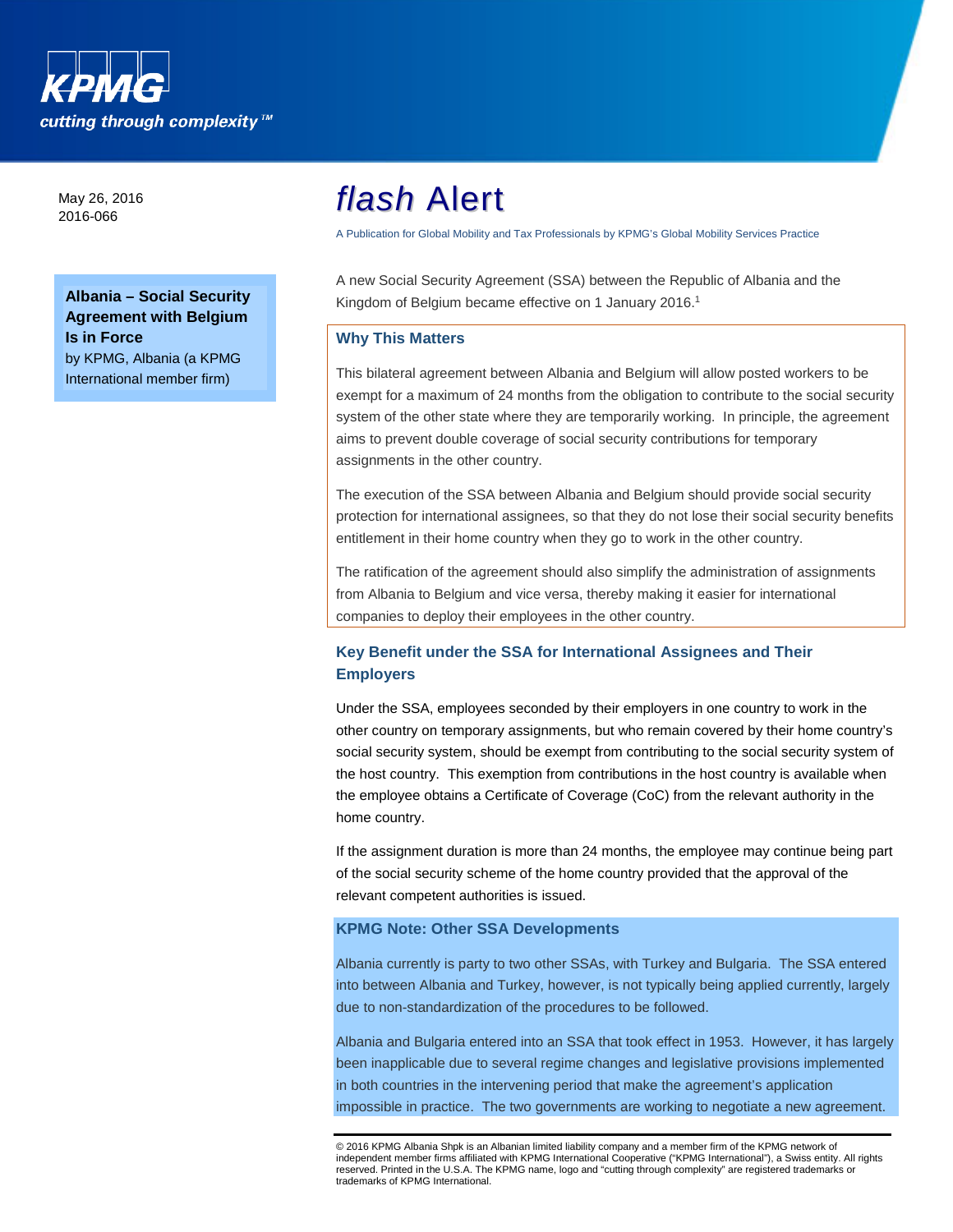

May 26, 2016 2016-066

**Albania – Social Security Agreement with Belgium Is in Force**  by KPMG, Albania (a KPMG International member firm)

# *flash* Alert

A Publication for Global Mobility and Tax Professionals by KPMG's Global Mobility Services Practice

A new Social Security Agreement (SSA) between the Republic of Albania and the Kingdom of Belgium became effective on 1 January 2016.<sup>1</sup>

### **Why This Matters**

This bilateral agreement between Albania and Belgium will allow posted workers to be exempt for a maximum of 24 months from the obligation to contribute to the social security system of the other state where they are temporarily working. In principle, the agreement aims to prevent double coverage of social security contributions for temporary assignments in the other country.

The execution of the SSA between Albania and Belgium should provide social security protection for international assignees, so that they do not lose their social security benefits entitlement in their home country when they go to work in the other country.

The ratification of the agreement should also simplify the administration of assignments from Albania to Belgium and vice versa, thereby making it easier for international companies to deploy their employees in the other country.

## **Key Benefit under the SSA for International Assignees and Their Employers**

Under the SSA, employees seconded by their employers in one country to work in the other country on temporary assignments, but who remain covered by their home country's social security system, should be exempt from contributing to the social security system of the host country. This exemption from contributions in the host country is available when the employee obtains a Certificate of Coverage (CoC) from the relevant authority in the home country.

If the assignment duration is more than 24 months, the employee may continue being part of the social security scheme of the home country provided that the approval of the relevant competent authorities is issued.

## **KPMG Note: Other SSA Developments**

Albania currently is party to two other SSAs, with Turkey and Bulgaria. The SSA entered into between Albania and Turkey, however, is not typically being applied currently, largely due to non-standardization of the procedures to be followed.

Albania and Bulgaria entered into an SSA that took effect in 1953. However, it has largely been inapplicable due to several regime changes and legislative provisions implemented in both countries in the intervening period that make the agreement's application impossible in practice. The two governments are working to negotiate a new agreement.

<sup>©</sup> 2016 KPMG Albania Shpk is an Albanian limited liability company and a member firm of the KPMG network of independent member firms affiliated with KPMG International Cooperative ("KPMG International"), a Swiss entity. All rights reserved. Printed in the U.S.A. The KPMG name, logo and "cutting through complexity" are registered trademarks or trademarks of KPMG International.